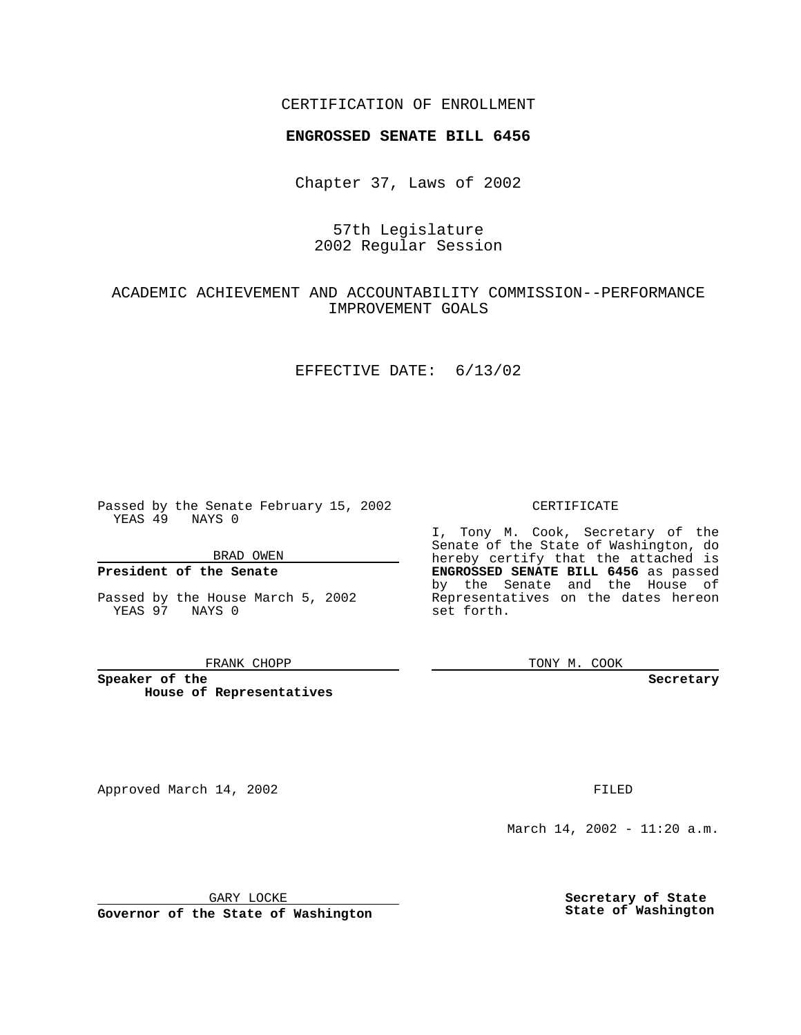## CERTIFICATION OF ENROLLMENT

# **ENGROSSED SENATE BILL 6456**

Chapter 37, Laws of 2002

# 57th Legislature 2002 Regular Session

## ACADEMIC ACHIEVEMENT AND ACCOUNTABILITY COMMISSION--PERFORMANCE IMPROVEMENT GOALS

### EFFECTIVE DATE: 6/13/02

Passed by the Senate February 15, 2002 YEAS 49 NAYS 0

BRAD OWEN

## **President of the Senate**

Passed by the House March 5, 2002 YEAS 97 NAYS 0

#### FRANK CHOPP

**Speaker of the House of Representatives**

Approved March 14, 2002 **FILED** 

#### CERTIFICATE

I, Tony M. Cook, Secretary of the Senate of the State of Washington, do hereby certify that the attached is **ENGROSSED SENATE BILL 6456** as passed by the Senate and the House of Representatives on the dates hereon set forth.

TONY M. COOK

**Secretary**

March 14, 2002 - 11:20 a.m.

GARY LOCKE

**Governor of the State of Washington**

**Secretary of State State of Washington**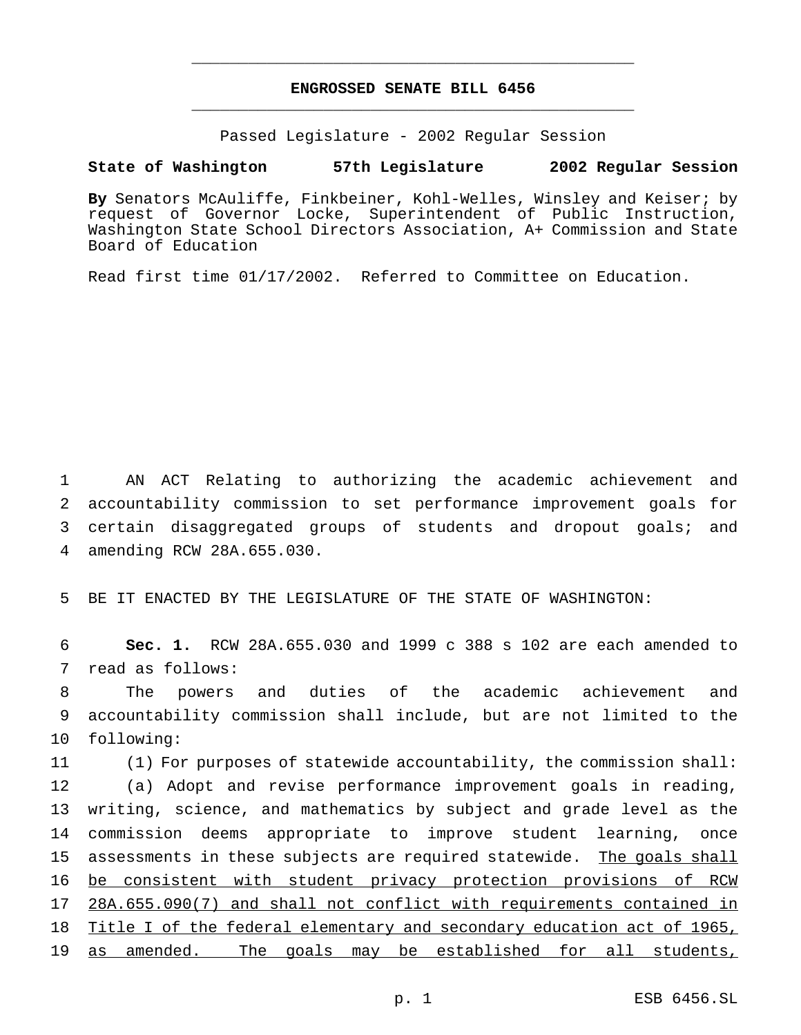# **ENGROSSED SENATE BILL 6456** \_\_\_\_\_\_\_\_\_\_\_\_\_\_\_\_\_\_\_\_\_\_\_\_\_\_\_\_\_\_\_\_\_\_\_\_\_\_\_\_\_\_\_\_\_\_\_

\_\_\_\_\_\_\_\_\_\_\_\_\_\_\_\_\_\_\_\_\_\_\_\_\_\_\_\_\_\_\_\_\_\_\_\_\_\_\_\_\_\_\_\_\_\_\_

Passed Legislature - 2002 Regular Session

### **State of Washington 57th Legislature 2002 Regular Session**

**By** Senators McAuliffe, Finkbeiner, Kohl-Welles, Winsley and Keiser; by request of Governor Locke, Superintendent of Public Instruction, Washington State School Directors Association, A+ Commission and State Board of Education

Read first time 01/17/2002. Referred to Committee on Education.

 AN ACT Relating to authorizing the academic achievement and accountability commission to set performance improvement goals for certain disaggregated groups of students and dropout goals; and amending RCW 28A.655.030.

5 BE IT ENACTED BY THE LEGISLATURE OF THE STATE OF WASHINGTON:

6 **Sec. 1.** RCW 28A.655.030 and 1999 c 388 s 102 are each amended to 7 read as follows:

8 The powers and duties of the academic achievement and 9 accountability commission shall include, but are not limited to the 10 following:

 (1) For purposes of statewide accountability, the commission shall: (a) Adopt and revise performance improvement goals in reading, writing, science, and mathematics by subject and grade level as the commission deems appropriate to improve student learning, once 15 assessments in these subjects are required statewide. The goals shall be consistent with student privacy protection provisions of RCW 28A.655.090(7) and shall not conflict with requirements contained in Title I of the federal elementary and secondary education act of 1965, 19 as amended. The goals may be established for all students,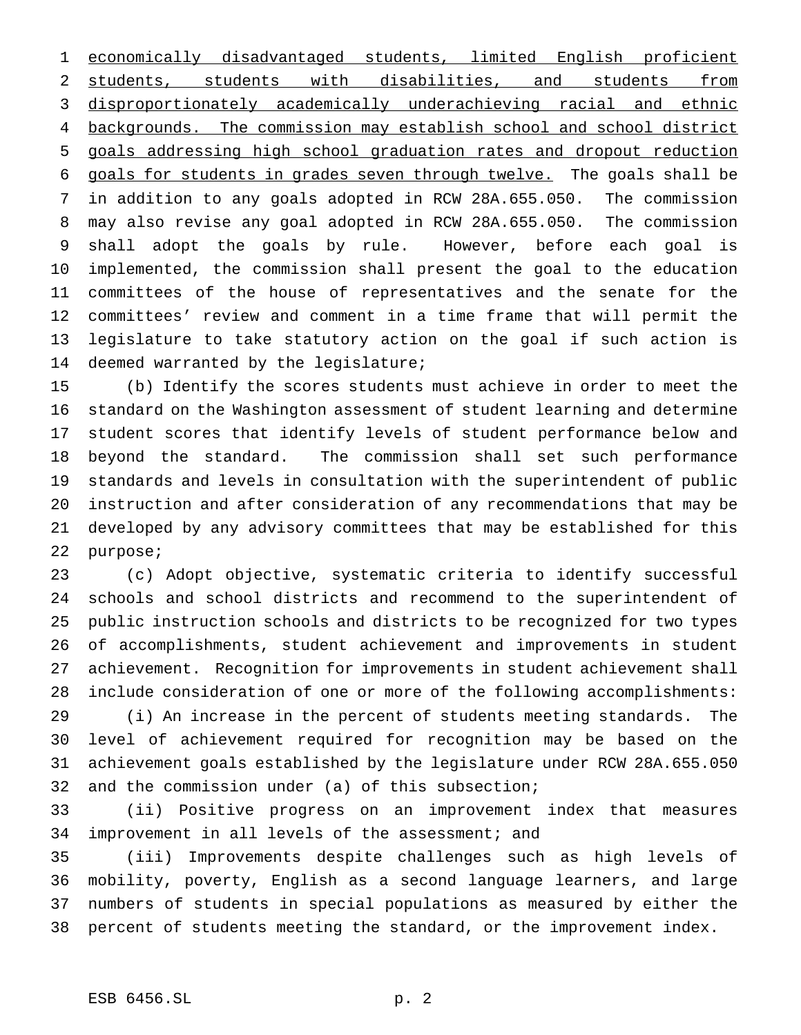economically disadvantaged students, limited English proficient students, students with disabilities, and students from disproportionately academically underachieving racial and ethnic 4 backgrounds. The commission may establish school and school district goals addressing high school graduation rates and dropout reduction goals for students in grades seven through twelve. The goals shall be in addition to any goals adopted in RCW 28A.655.050. The commission may also revise any goal adopted in RCW 28A.655.050. The commission shall adopt the goals by rule. However, before each goal is implemented, the commission shall present the goal to the education committees of the house of representatives and the senate for the committees' review and comment in a time frame that will permit the legislature to take statutory action on the goal if such action is deemed warranted by the legislature;

 (b) Identify the scores students must achieve in order to meet the standard on the Washington assessment of student learning and determine student scores that identify levels of student performance below and beyond the standard. The commission shall set such performance standards and levels in consultation with the superintendent of public instruction and after consideration of any recommendations that may be developed by any advisory committees that may be established for this purpose;

 (c) Adopt objective, systematic criteria to identify successful schools and school districts and recommend to the superintendent of public instruction schools and districts to be recognized for two types of accomplishments, student achievement and improvements in student achievement. Recognition for improvements in student achievement shall include consideration of one or more of the following accomplishments:

 (i) An increase in the percent of students meeting standards. The level of achievement required for recognition may be based on the achievement goals established by the legislature under RCW 28A.655.050 and the commission under (a) of this subsection;

 (ii) Positive progress on an improvement index that measures 34 improvement in all levels of the assessment; and

 (iii) Improvements despite challenges such as high levels of mobility, poverty, English as a second language learners, and large numbers of students in special populations as measured by either the percent of students meeting the standard, or the improvement index.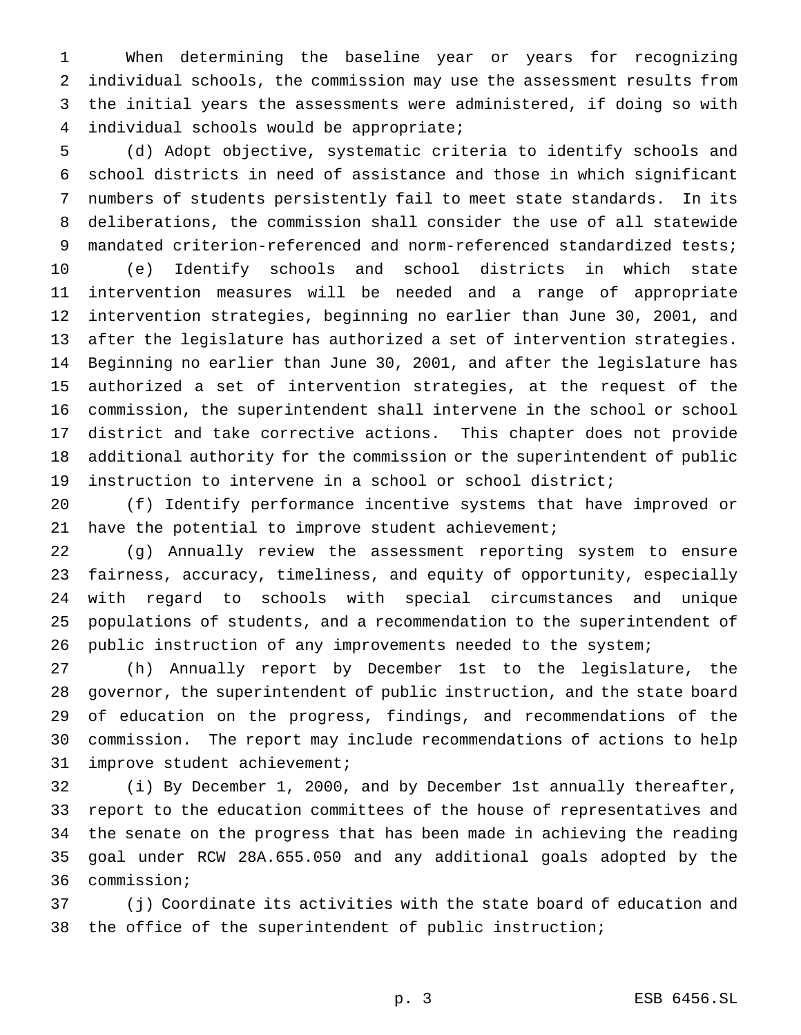When determining the baseline year or years for recognizing individual schools, the commission may use the assessment results from the initial years the assessments were administered, if doing so with individual schools would be appropriate;

 (d) Adopt objective, systematic criteria to identify schools and school districts in need of assistance and those in which significant numbers of students persistently fail to meet state standards. In its deliberations, the commission shall consider the use of all statewide mandated criterion-referenced and norm-referenced standardized tests; (e) Identify schools and school districts in which state intervention measures will be needed and a range of appropriate intervention strategies, beginning no earlier than June 30, 2001, and after the legislature has authorized a set of intervention strategies. Beginning no earlier than June 30, 2001, and after the legislature has authorized a set of intervention strategies, at the request of the commission, the superintendent shall intervene in the school or school district and take corrective actions. This chapter does not provide additional authority for the commission or the superintendent of public instruction to intervene in a school or school district;

 (f) Identify performance incentive systems that have improved or have the potential to improve student achievement;

 (g) Annually review the assessment reporting system to ensure fairness, accuracy, timeliness, and equity of opportunity, especially with regard to schools with special circumstances and unique populations of students, and a recommendation to the superintendent of public instruction of any improvements needed to the system;

 (h) Annually report by December 1st to the legislature, the governor, the superintendent of public instruction, and the state board of education on the progress, findings, and recommendations of the commission. The report may include recommendations of actions to help improve student achievement;

 (i) By December 1, 2000, and by December 1st annually thereafter, report to the education committees of the house of representatives and the senate on the progress that has been made in achieving the reading goal under RCW 28A.655.050 and any additional goals adopted by the commission;

 (j) Coordinate its activities with the state board of education and the office of the superintendent of public instruction;